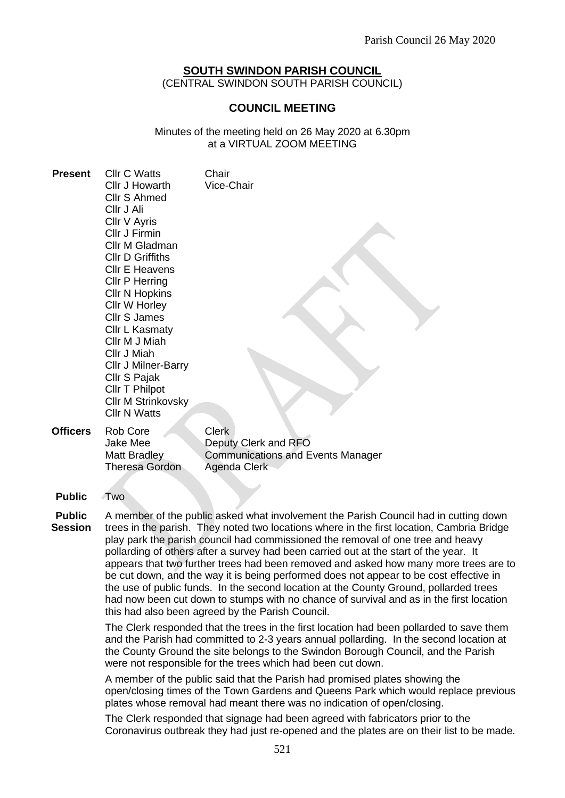# **SOUTH SWINDON PARISH COUNCIL**

(CENTRAL SWINDON SOUTH PARISH COUNCIL)

## **COUNCIL MEETING**

Minutes of the meeting held on 26 May 2020 at 6.30pm at a VIRTUAL ZOOM MEETING

| <b>Present</b>  | <b>Cllr C Watts</b><br>Cllr J Howarth<br><b>Cllr S Ahmed</b><br>Cllr J Ali<br>Cllr V Ayris<br>Cllr J Firmin<br>Cllr M Gladman<br><b>Cllr D Griffiths</b><br><b>Cllr E Heavens</b><br>Cllr P Herring<br><b>CIIr N Hopkins</b><br>Cllr W Horley<br><b>Cllr S James</b><br>Cllr L Kasmaty<br>Cllr M J Miah<br>Cllr J Miah<br>Cllr J Milner-Barry<br>Cllr S Pajak<br>Cllr T Philpot<br><b>Cllr M Strinkovsky</b><br><b>Cllr N Watts</b> | Chair<br>Vice-Chair                                                                              |
|-----------------|-------------------------------------------------------------------------------------------------------------------------------------------------------------------------------------------------------------------------------------------------------------------------------------------------------------------------------------------------------------------------------------------------------------------------------------|--------------------------------------------------------------------------------------------------|
| <b>Officers</b> | Rob Core<br><b>Jake Mee</b><br>Matt Bradley<br><b>Theresa Gordon</b>                                                                                                                                                                                                                                                                                                                                                                | <b>Clerk</b><br>Deputy Clerk and RFO<br><b>Communications and Events Manager</b><br>Agenda Clerk |
| <b>Public</b>   | Two                                                                                                                                                                                                                                                                                                                                                                                                                                 |                                                                                                  |

**Public Session** A member of the public asked what involvement the Parish Council had in cutting down trees in the parish. They noted two locations where in the first location, Cambria Bridge play park the parish council had commissioned the removal of one tree and heavy pollarding of others after a survey had been carried out at the start of the year. It appears that two further trees had been removed and asked how many more trees are to be cut down, and the way it is being performed does not appear to be cost effective in the use of public funds. In the second location at the County Ground, pollarded trees had now been cut down to stumps with no chance of survival and as in the first location this had also been agreed by the Parish Council.

> The Clerk responded that the trees in the first location had been pollarded to save them and the Parish had committed to 2-3 years annual pollarding. In the second location at the County Ground the site belongs to the Swindon Borough Council, and the Parish were not responsible for the trees which had been cut down.

A member of the public said that the Parish had promised plates showing the open/closing times of the Town Gardens and Queens Park which would replace previous plates whose removal had meant there was no indication of open/closing.

The Clerk responded that signage had been agreed with fabricators prior to the Coronavirus outbreak they had just re-opened and the plates are on their list to be made.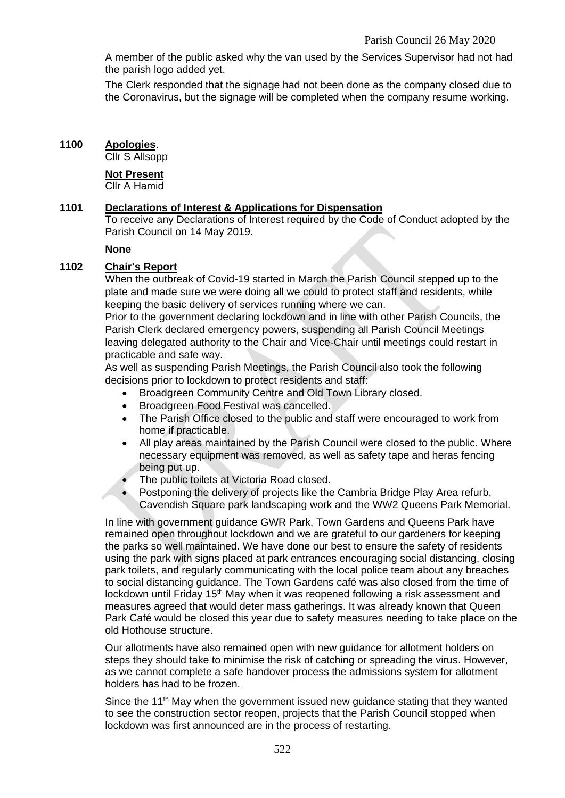A member of the public asked why the van used by the Services Supervisor had not had the parish logo added yet.

The Clerk responded that the signage had not been done as the company closed due to the Coronavirus, but the signage will be completed when the company resume working.

## **1100 Apologies**.

Cllr S Allsopp

#### **Not Present**

Cllr A Hamid

## **1101 Declarations of Interest & Applications for Dispensation**

To receive any Declarations of Interest required by the Code of Conduct adopted by the Parish Council on 14 May 2019.

#### **None**

## **1102 Chair's Report**

When the outbreak of Covid-19 started in March the Parish Council stepped up to the plate and made sure we were doing all we could to protect staff and residents, while keeping the basic delivery of services running where we can.

Prior to the government declaring lockdown and in line with other Parish Councils, the Parish Clerk declared emergency powers, suspending all Parish Council Meetings leaving delegated authority to the Chair and Vice-Chair until meetings could restart in practicable and safe way.

As well as suspending Parish Meetings, the Parish Council also took the following decisions prior to lockdown to protect residents and staff:

- Broadgreen Community Centre and Old Town Library closed.
- Broadgreen Food Festival was cancelled.
- The Parish Office closed to the public and staff were encouraged to work from home if practicable.
- All play areas maintained by the Parish Council were closed to the public. Where necessary equipment was removed, as well as safety tape and heras fencing being put up.
- The public toilets at Victoria Road closed.
- Postponing the delivery of projects like the Cambria Bridge Play Area refurb, Cavendish Square park landscaping work and the WW2 Queens Park Memorial.

In line with government guidance GWR Park, Town Gardens and Queens Park have remained open throughout lockdown and we are grateful to our gardeners for keeping the parks so well maintained. We have done our best to ensure the safety of residents using the park with signs placed at park entrances encouraging social distancing, closing park toilets, and regularly communicating with the local police team about any breaches to social distancing guidance. The Town Gardens café was also closed from the time of lockdown until Friday 15<sup>th</sup> May when it was reopened following a risk assessment and measures agreed that would deter mass gatherings. It was already known that Queen Park Café would be closed this year due to safety measures needing to take place on the old Hothouse structure.

Our allotments have also remained open with new guidance for allotment holders on steps they should take to minimise the risk of catching or spreading the virus. However, as we cannot complete a safe handover process the admissions system for allotment holders has had to be frozen.

Since the 11<sup>th</sup> May when the government issued new guidance stating that they wanted to see the construction sector reopen, projects that the Parish Council stopped when lockdown was first announced are in the process of restarting.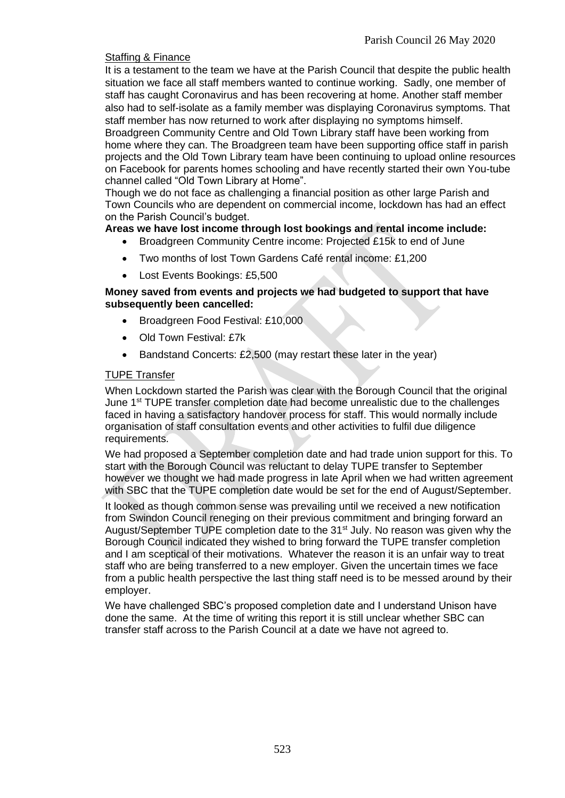## Staffing & Finance

It is a testament to the team we have at the Parish Council that despite the public health situation we face all staff members wanted to continue working. Sadly, one member of staff has caught Coronavirus and has been recovering at home. Another staff member also had to self-isolate as a family member was displaying Coronavirus symptoms. That staff member has now returned to work after displaying no symptoms himself.

Broadgreen Community Centre and Old Town Library staff have been working from home where they can. The Broadgreen team have been supporting office staff in parish projects and the Old Town Library team have been continuing to upload online resources on Facebook for parents homes schooling and have recently started their own You-tube channel called "Old Town Library at Home".

Though we do not face as challenging a financial position as other large Parish and Town Councils who are dependent on commercial income, lockdown has had an effect on the Parish Council's budget.

### **Areas we have lost income through lost bookings and rental income include:**

- Broadgreen Community Centre income: Projected £15k to end of June
- Two months of lost Town Gardens Café rental income: £1,200
- Lost Events Bookings: £5,500

### **Money saved from events and projects we had budgeted to support that have subsequently been cancelled:**

- Broadgreen Food Festival: £10,000
- Old Town Festival: £7k
- Bandstand Concerts: £2,500 (may restart these later in the year)

### TUPE Transfer

When Lockdown started the Parish was clear with the Borough Council that the original June 1st TUPE transfer completion date had become unrealistic due to the challenges faced in having a satisfactory handover process for staff. This would normally include organisation of staff consultation events and other activities to fulfil due diligence requirements.

We had proposed a September completion date and had trade union support for this. To start with the Borough Council was reluctant to delay TUPE transfer to September however we thought we had made progress in late April when we had written agreement with SBC that the TUPE completion date would be set for the end of August/September.

It looked as though common sense was prevailing until we received a new notification from Swindon Council reneging on their previous commitment and bringing forward an August/September TUPE completion date to the 31<sup>st</sup> July. No reason was given why the Borough Council indicated they wished to bring forward the TUPE transfer completion and I am sceptical of their motivations. Whatever the reason it is an unfair way to treat staff who are being transferred to a new employer. Given the uncertain times we face from a public health perspective the last thing staff need is to be messed around by their employer.

We have challenged SBC's proposed completion date and I understand Unison have done the same. At the time of writing this report it is still unclear whether SBC can transfer staff across to the Parish Council at a date we have not agreed to.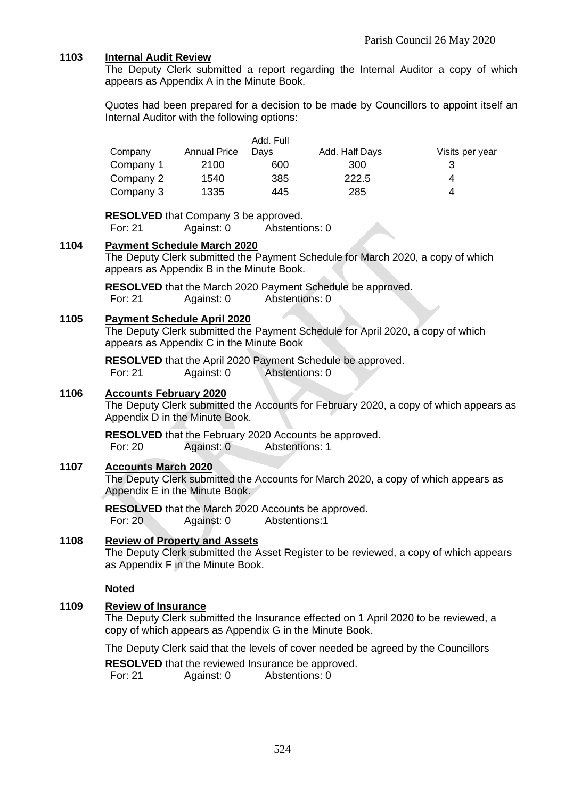## **1103 Internal Audit Review**

The Deputy Clerk submitted a report regarding the Internal Auditor a copy of which appears as Appendix A in the Minute Book.

Quotes had been prepared for a decision to be made by Councillors to appoint itself an Internal Auditor with the following options:

|           |                     | Add. Full |                |                 |
|-----------|---------------------|-----------|----------------|-----------------|
| Company   | <b>Annual Price</b> | Davs      | Add. Half Days | Visits per year |
| Company 1 | 2100                | 600       | 300            | 3               |
| Company 2 | 1540                | 385       | 222.5          | Δ               |
| Company 3 | 1335                | 445       | 285            | Δ               |

**RESOLVED** that Company 3 be approved.

For: 21 Against: 0 Abstentions: 0

#### **1104 Payment Schedule March 2020**

The Deputy Clerk submitted the Payment Schedule for March 2020, a copy of which appears as Appendix B in the Minute Book.

**RESOLVED** that the March 2020 Payment Schedule be approved. For: 21 Against: 0 Abstentions: 0

#### **1105 Payment Schedule April 2020**

The Deputy Clerk submitted the Payment Schedule for April 2020, a copy of which appears as Appendix C in the Minute Book

**RESOLVED** that the April 2020 Payment Schedule be approved. For: 21 Against: 0 Abstentions: 0

#### **1106 Accounts February 2020**

The Deputy Clerk submitted the Accounts for February 2020, a copy of which appears as Appendix D in the Minute Book.

**RESOLVED** that the February 2020 Accounts be approved. For: 20 Against: 0 Abstentions: 1

#### **1107 Accounts March 2020**

The Deputy Clerk submitted the Accounts for March 2020, a copy of which appears as Appendix E in the Minute Book.

**RESOLVED** that the March 2020 Accounts be approved. For: 20 Against: 0 Abstentions:1

## **1108 Review of Property and Assets**

The Deputy Clerk submitted the Asset Register to be reviewed, a copy of which appears as Appendix F in the Minute Book.

## **Noted**

## **1109 Review of Insurance**

The Deputy Clerk submitted the Insurance effected on 1 April 2020 to be reviewed, a copy of which appears as Appendix G in the Minute Book.

The Deputy Clerk said that the levels of cover needed be agreed by the Councillors

**RESOLVED** that the reviewed Insurance be approved.

For: 21 Against: 0 Abstentions: 0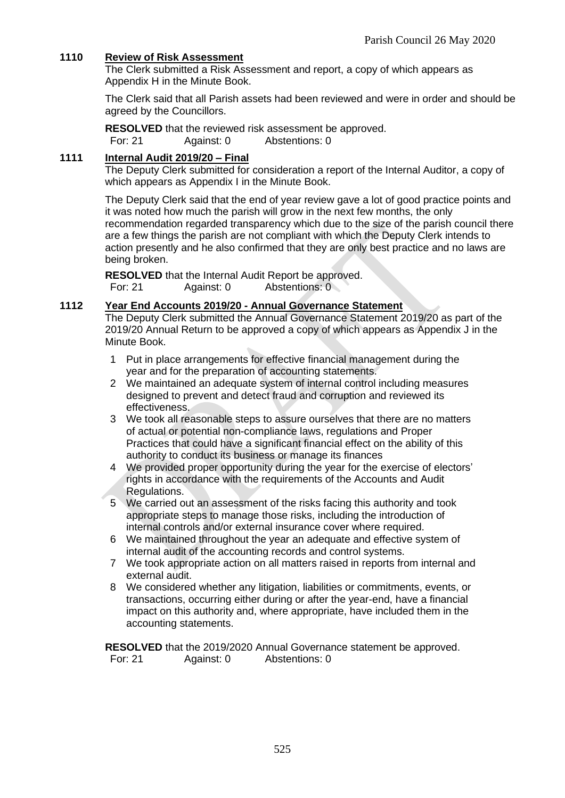## **1110 Review of Risk Assessment**

The Clerk submitted a Risk Assessment and report, a copy of which appears as Appendix H in the Minute Book.

The Clerk said that all Parish assets had been reviewed and were in order and should be agreed by the Councillors.

**RESOLVED** that the reviewed risk assessment be approved. For: 21 Against: 0 Abstentions: 0

## **1111 Internal Audit 2019/20 – Final**

The Deputy Clerk submitted for consideration a report of the Internal Auditor, a copy of which appears as Appendix I in the Minute Book.

The Deputy Clerk said that the end of year review gave a lot of good practice points and it was noted how much the parish will grow in the next few months, the only recommendation regarded transparency which due to the size of the parish council there are a few things the parish are not compliant with which the Deputy Clerk intends to action presently and he also confirmed that they are only best practice and no laws are being broken.

**RESOLVED** that the Internal Audit Report be approved. For: 21 Against: 0 Abstentions: 0

## **1112 Year End Accounts 2019/20 - Annual Governance Statement**

The Deputy Clerk submitted the Annual Governance Statement 2019/20 as part of the 2019/20 Annual Return to be approved a copy of which appears as Appendix J in the Minute Book.

- 1 Put in place arrangements for effective financial management during the year and for the preparation of accounting statements.
- 2 We maintained an adequate system of internal control including measures designed to prevent and detect fraud and corruption and reviewed its effectiveness.
- 3 We took all reasonable steps to assure ourselves that there are no matters of actual or potential non-compliance laws, regulations and Proper Practices that could have a significant financial effect on the ability of this authority to conduct its business or manage its finances
- 4 We provided proper opportunity during the year for the exercise of electors' rights in accordance with the requirements of the Accounts and Audit Regulations.
- 5 We carried out an assessment of the risks facing this authority and took appropriate steps to manage those risks, including the introduction of internal controls and/or external insurance cover where required.
- 6 We maintained throughout the year an adequate and effective system of internal audit of the accounting records and control systems.
- 7 We took appropriate action on all matters raised in reports from internal and external audit.
- 8 We considered whether any litigation, liabilities or commitments, events, or transactions, occurring either during or after the year-end, have a financial impact on this authority and, where appropriate, have included them in the accounting statements.

**RESOLVED** that the 2019/2020 Annual Governance statement be approved. For: 21 Against: 0 Abstentions: 0